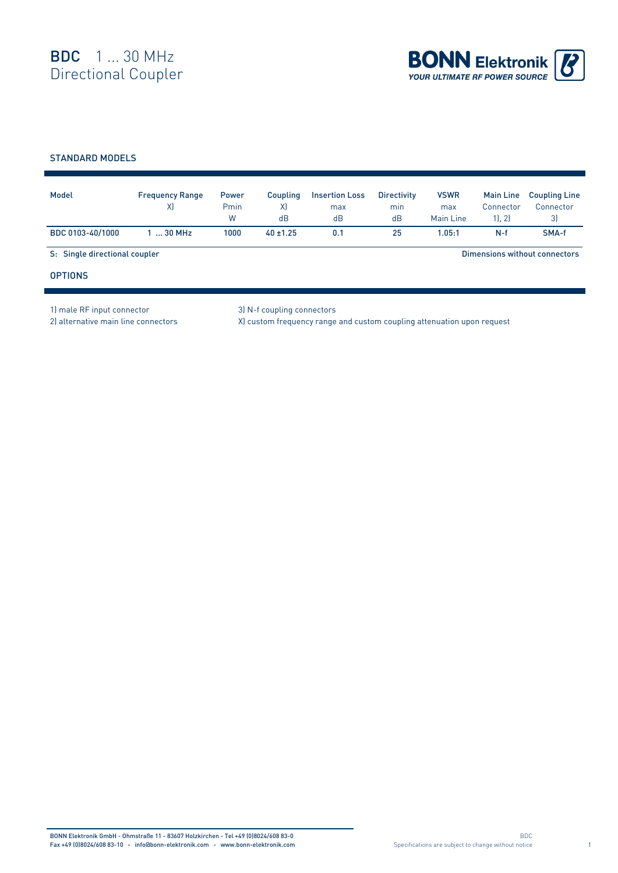

## STANDARD MODELS

| Model                         | <b>Frequency Range</b><br>X) | <b>Power</b><br>Pmin<br>W | Coupling<br>X)<br>dB | <b>Insertion Loss</b><br>max<br>dB | <b>Directivity</b><br>min<br>dB | <b>VSWR</b><br>max<br>Main Line | <b>Main Line</b><br>Connector<br>11.21 | <b>Coupling Line</b><br>Connector<br>3) |
|-------------------------------|------------------------------|---------------------------|----------------------|------------------------------------|---------------------------------|---------------------------------|----------------------------------------|-----------------------------------------|
| BDC 0103-40/1000              | $130$ MHz                    | 1000                      | $40 \pm 1.25$        | 0.1                                | 25                              | 1.05:1                          | $N-f$                                  | SMA-f                                   |
| S: Single directional coupler |                              |                           |                      |                                    |                                 |                                 |                                        | Dimensions without connectors           |
| <b>OPTIONS</b>                |                              |                           |                      |                                    |                                 |                                 |                                        |                                         |

1) male RF input connector 3) N-f coupling connectors

2) alternative main line connectors X) custom frequency range and custom coupling attenuation upon request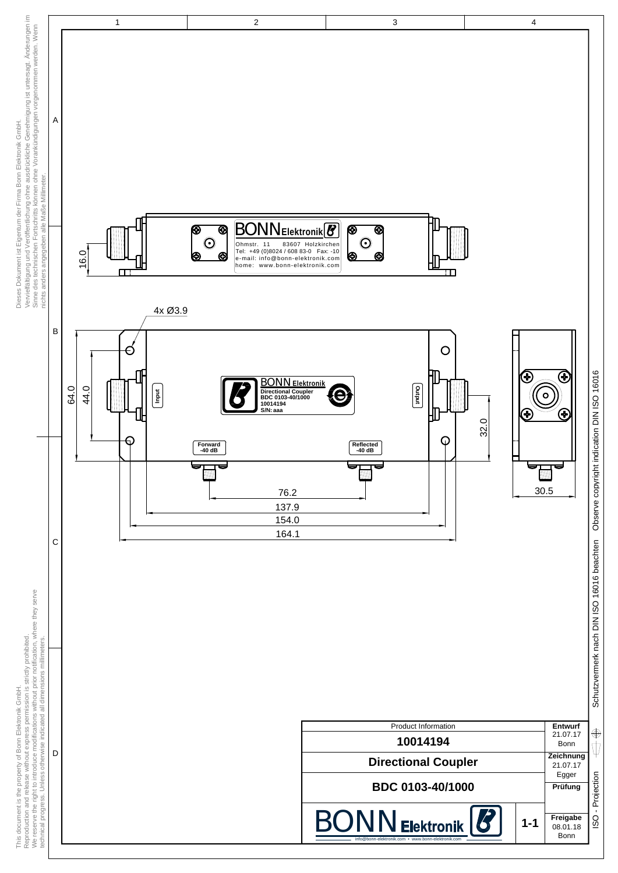

 $\bigoplus$ ψ